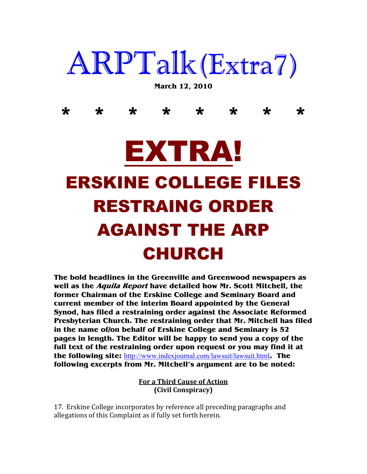## ARPTalk(Extra7)

**March 12, 2010** 

\* \* \* \* \* \* \* \*

## EXTRA! ERSKINE COLLEGE FILES RESTRAING ORDER AGAINST THE ARP CHURCH

**The bold headlines in the Greenville and Greenwood newspapers as well as the Aquila Report have detailed how Mr. Scott Mitchell, the former Chairman of the Erskine College and Seminary Board and current member of the interim Board appointed by the General Synod, has filed a restraining order against the Associate Reformed Presbyterian Church. The restraining order that Mr. Mitchell has filed in the name of/on behalf of Erskine College and Seminary is 52 pages in length. The Editor will be happy to send you a copy of the full text of the restraining order upon request or you may find it at the following site:** http://www.indexjournal.com/lawsuit/lawsuit.html**. The following excerpts from Mr. Mitchell's argument are to be noted:** 

> **For a Third Cause of Action (Civil Conspiracy)**

17. Erskine College incorporates by reference all preceding paragraphs and allegations of this Complaint as if fully set forth herein.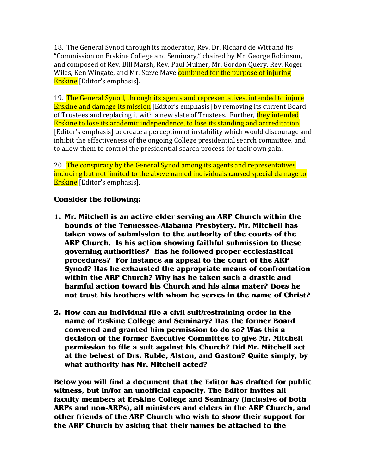18. The General Synod through its moderator, Rev. Dr. Richard de Witt and its "Commission on Erskine College and Seminary," chaired by Mr. George Robinson, and composed of Rev. Bill Marsh, Rev. Paul Mulner, Mr. Gordon Query, Rev. Roger Wiles, Ken Wingate, and Mr. Steve Maye combined for the purpose of injuring Erskine [Editor's emphasis].

19. The General Synod, through its agents and representatives, intended to injure Erskine and damage its mission [Editor's emphasis] by removing its current Board of Trustees and replacing it with a new slate of Trustees. Further, they intended Erskine to lose its academic independence, to lose its standing and accreditation [Editor's emphasis] to create a perception of instability which would discourage and inhibit the effectiveness of the ongoing College presidential search committee, and to allow them to control the presidential search process for their own gain.

20. The conspiracy by the General Synod among its agents and representatives including but not limited to the above named individuals caused special damage to Erskine [Editor's emphasis].

## **Consider the following:**

- **1. Mr. Mitchell is an active elder serving an ARP Church within the bounds of the Tennessee-Alabama Presbytery. Mr. Mitchell has taken vows of submission to the authority of the courts of the ARP Church. Is his action showing faithful submission to these governing authorities? Has he followed proper ecclesiastical procedures? For instance an appeal to the court of the ARP Synod? Has he exhausted the appropriate means of confrontation within the ARP Church? Why has he taken such a drastic and harmful action toward his Church and his alma mater? Does he not trust his brothers with whom he serves in the name of Christ?**
- **2. How can an individual file a civil suit/restraining order in the name of Erskine College and Seminary? Has the former Board convened and granted him permission to do so? Was this a decision of the former Executive Committee to give Mr. Mitchell permission to file a suit against his Church? Did Mr. Mitchell act at the behest of Drs. Ruble, Alston, and Gaston? Quite simply, by what authority has Mr. Mitchell acted?**

**Below you will find a document that the Editor has drafted for public witness, but in/for an unofficial capacity. The Editor invites all faculty members at Erskine College and Seminary (inclusive of both ARPs and non-ARPs), all ministers and elders in the ARP Church, and other friends of the ARP Church who wish to show their support for the ARP Church by asking that their names be attached to the**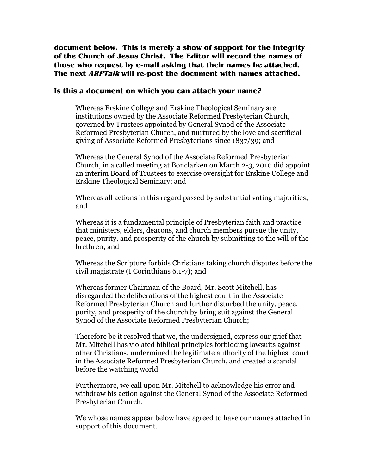**document below. This is merely a show of support for the integrity of the Church of Jesus Christ. The Editor will record the names of those who request by e-mail asking that their names be attached. The next ARPTalk will re-post the document with names attached.** 

## **Is this a document on which you can attach your name?**

Whereas Erskine College and Erskine Theological Seminary are institutions owned by the Associate Reformed Presbyterian Church, governed by Trustees appointed by General Synod of the Associate Reformed Presbyterian Church, and nurtured by the love and sacrificial giving of Associate Reformed Presbyterians since 1837/39; and

Whereas the General Synod of the Associate Reformed Presbyterian Church, in a called meeting at Bonclarken on March 2-3, 2010 did appoint an interim Board of Trustees to exercise oversight for Erskine College and Erskine Theological Seminary; and

Whereas all actions in this regard passed by substantial voting majorities; and

Whereas it is a fundamental principle of Presbyterian faith and practice that ministers, elders, deacons, and church members pursue the unity, peace, purity, and prosperity of the church by submitting to the will of the brethren; and

Whereas the Scripture forbids Christians taking church disputes before the civil magistrate (I Corinthians 6.1-7); and

Whereas former Chairman of the Board, Mr. Scott Mitchell, has disregarded the deliberations of the highest court in the Associate Reformed Presbyterian Church and further disturbed the unity, peace, purity, and prosperity of the church by bring suit against the General Synod of the Associate Reformed Presbyterian Church;

Therefore be it resolved that we, the undersigned, express our grief that Mr. Mitchell has violated biblical principles forbidding lawsuits against other Christians, undermined the legitimate authority of the highest court in the Associate Reformed Presbyterian Church, and created a scandal before the watching world.

Furthermore, we call upon Mr. Mitchell to acknowledge his error and withdraw his action against the General Synod of the Associate Reformed Presbyterian Church.

We whose names appear below have agreed to have our names attached in support of this document.